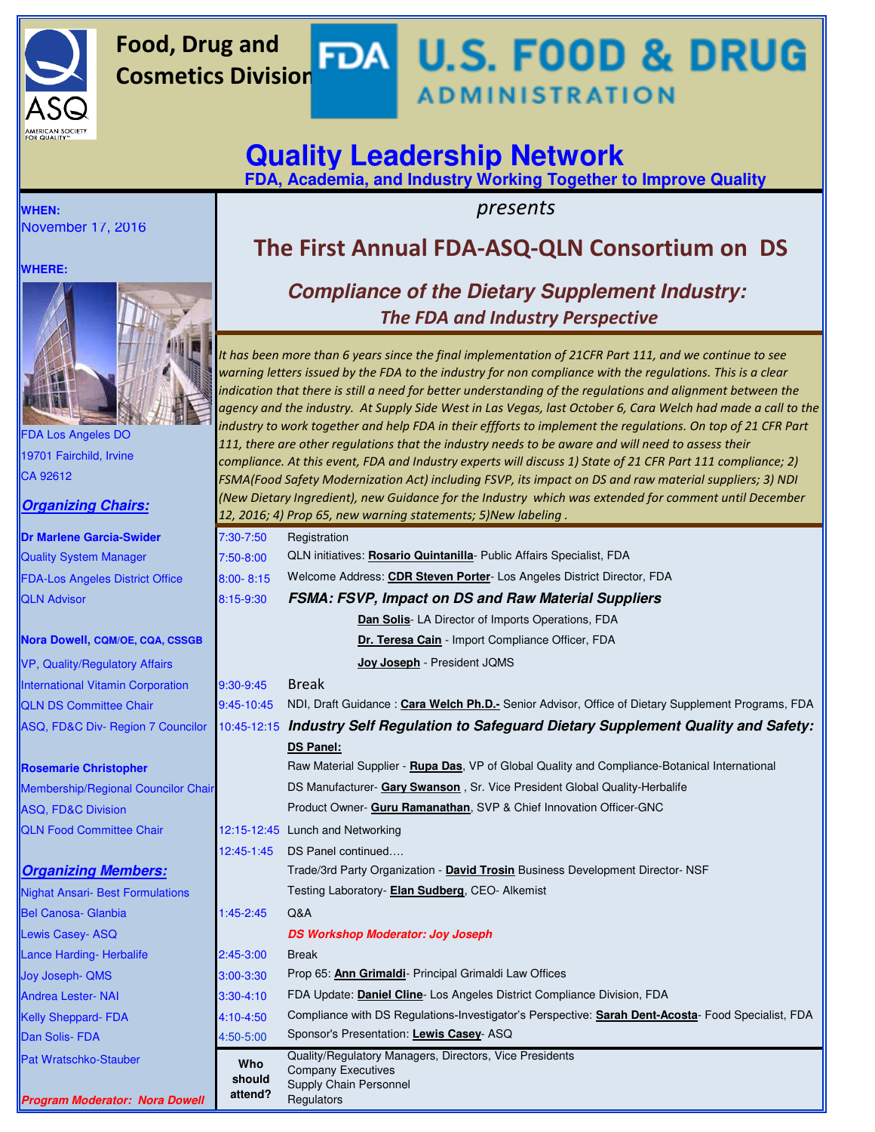

## **Food, Drug and Cosmetics Division**

# **ADMINISTRATION**

# **Quality Leadership Network**

**FDA, Academia, and Industry Working Together to Improve Quality**

#### **WHEN:**  November 17, 2016

**WHERE:**



FDA Los Angeles DO 19701 Fairchild, Irvine CA 92612

#### *Organizing Chairs:*

|                                         | 12, 2016; 4) Prop 65, new warning statements; 5)New labeling. |                                                                                                                |
|-----------------------------------------|---------------------------------------------------------------|----------------------------------------------------------------------------------------------------------------|
| <b>Dr Marlene Garcia-Swider</b>         | 7:30-7:50                                                     | Registration                                                                                                   |
| <b>Quality System Manager</b>           | 7:50-8:00                                                     | QLN initiatives: Rosario Quintanilla- Public Affairs Specialist, FDA                                           |
| <b>FDA-Los Angeles District Office</b>  | $8:00 - 8:15$                                                 | Welcome Address: <b>CDR Steven Porter</b> - Los Angeles District Director, FDA                                 |
| <b>QLN Advisor</b>                      | 8:15-9:30                                                     | <b>FSMA: FSVP, Impact on DS and Raw Material Suppliers</b>                                                     |
|                                         |                                                               | Dan Solis-LA Director of Imports Operations, FDA                                                               |
| Nora Dowell, CQM/OE, CQA, CSSGB         |                                                               | Dr. Teresa Cain - Import Compliance Officer, FDA                                                               |
| <b>VP, Quality/Regulatory Affairs</b>   |                                                               | Joy Joseph - President JQMS                                                                                    |
| International Vitamin Corporation       | 9:30-9:45                                                     | <b>Break</b>                                                                                                   |
| <b>QLN DS Committee Chair</b>           | 9:45-10:45                                                    | NDI, Draft Guidance: Cara Welch Ph.D.- Senior Advisor, Office of Dietary Supplement Programs, FDA              |
| ASQ, FD&C Div- Region 7 Councilor       | 10:45-12:15                                                   | Industry Self Regulation to Safeguard Dietary Supplement Quality and Safety:                                   |
|                                         |                                                               | <b>DS Panel:</b>                                                                                               |
| <b>Rosemarie Christopher</b>            |                                                               | Raw Material Supplier - Rupa Das, VP of Global Quality and Compliance-Botanical International                  |
| Membership/Regional Councilor Chair     |                                                               | DS Manufacturer- Gary Swanson, Sr. Vice President Global Quality-Herbalife                                     |
| <b>ASQ, FD&amp;C Division</b>           |                                                               | Product Owner- Guru Ramanathan, SVP & Chief Innovation Officer-GNC                                             |
| <b>QLN Food Committee Chair</b>         |                                                               | 12:15-12:45 Lunch and Networking                                                                               |
|                                         | 12:45-1:45                                                    | DS Panel continued                                                                                             |
| <b>Organizing Members:</b>              |                                                               | Trade/3rd Party Organization - David Trosin Business Development Director- NSF                                 |
| <b>Nighat Ansari- Best Formulations</b> |                                                               | Testing Laboratory- Elan Sudberg, CEO- Alkemist                                                                |
| <b>Bel Canosa- Glanbia</b>              | $1:45-2:45$                                                   | Q&A                                                                                                            |
| <b>Lewis Casey- ASQ</b>                 |                                                               | <b>DS Workshop Moderator: Joy Joseph</b>                                                                       |
| <b>Lance Harding- Herbalife</b>         | 2:45-3:00                                                     | <b>Break</b>                                                                                                   |
| <b>Joy Joseph- QMS</b>                  | 3:00-3:30                                                     | Prop 65: <b>Ann Grimaldi</b> Principal Grimaldi Law Offices                                                    |
| <b>Andrea Lester- NAI</b>               | $3:30-4:10$                                                   | FDA Update: Daniel Cline- Los Angeles District Compliance Division, FDA                                        |
| <b>Kelly Sheppard-FDA</b>               | 4:10-4:50                                                     | Compliance with DS Regulations-Investigator's Perspective: Sarah Dent-Acosta-Food Specialist, FDA              |
| Dan Solis- FDA                          | 4:50-5:00                                                     | Sponsor's Presentation: Lewis Casey- ASQ                                                                       |
| <b>Pat Wratschko-Stauber</b>            | Who<br>should<br>attend?                                      | Quality/Regulatory Managers, Directors, Vice Presidents<br><b>Company Executives</b><br>Supply Chain Personnel |

**Regulators** 

*Program Moderator: Nora Dowell*

#### *presents*

## **The First Annual FDA-ASQ-QLN Consortium on DS**

### *The FDA and Industry Perspective Compliance of the Dietary Supplement Industry:*

*It has been more than 6 years since the final implementation of 21CFR Part 111, and we continue to see warning letters issued by the FDA to the industry for non compliance with the regulations. This is a clear indication that there is still a need for better understanding of the regulations and alignment between the agency and the industry. At Supply Side West in Las Vegas, last October 6, Cara Welch had made a call to the industry to work together and help FDA in their effforts to implement the regulations. On top of 21 CFR Part 111, there are other regulations that the industry needs to be aware and will need to assess their compliance. At this event, FDA and Industry experts will discuss 1) State of 21 CFR Part 111 compliance; 2) FSMA(Food Safety Modernization Act) including FSVP, its impact on DS and raw material suppliers; 3) NDI (New Dietary Ingredient), new Guidance for the Industry which was extended for comment until December*